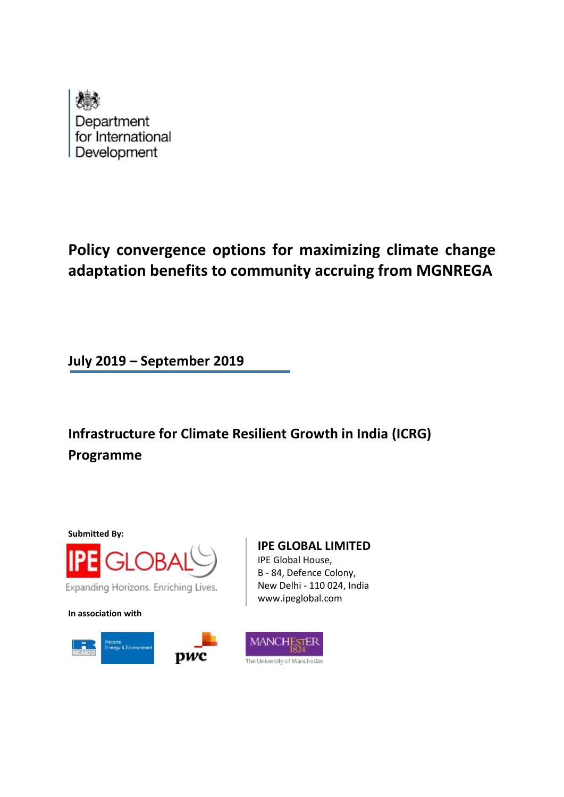

## **Policy convergence options for maximizing climate change adaptation benefits to community accruing from MGNREGA**

**July 2019 – September 2019**

**Infrastructure for Climate Resilient Growth in India (ICRG) Programme**

**Submitted By:**



**In association with**



**IPE GLOBAL LIMITED** IPE Global House, B - 84, Defence Colony, New Delhi - 110 024, India www.ipeglobal.com

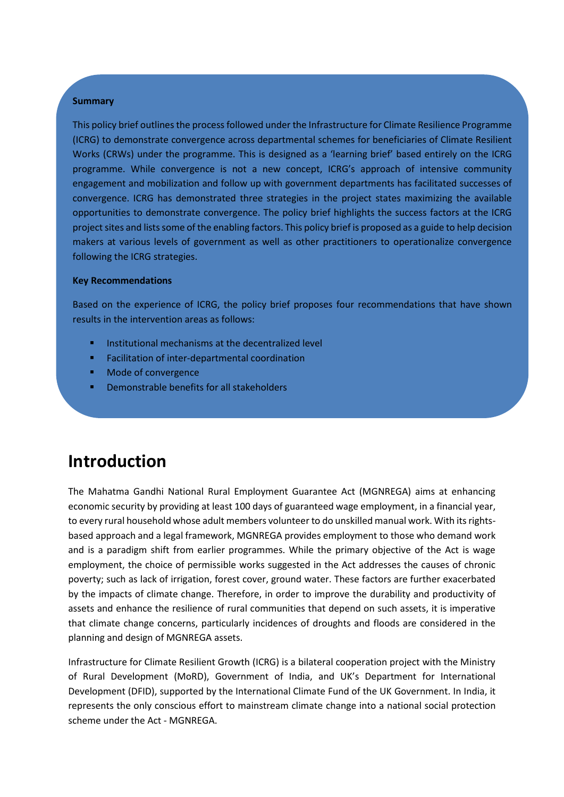#### **Summary**

This policy brief outlines the process followed under the Infrastructure for Climate Resilience Programme (ICRG) to demonstrate convergence across departmental schemes for beneficiaries of Climate Resilient Works (CRWs) under the programme. This is designed as a 'learning brief' based entirely on the ICRG programme. While convergence is not a new concept, ICRG's approach of intensive community engagement and mobilization and follow up with government departments has facilitated successes of convergence. ICRG has demonstrated three strategies in the project states maximizing the available opportunities to demonstrate convergence. The policy brief highlights the success factors at the ICRG project sites and lists some of the enabling factors. This policy brief is proposed as a guide to help decision makers at various levels of government as well as other practitioners to operationalize convergence following the ICRG strategies.

#### **Key Recommendations**

Based on the experience of ICRG, the policy brief proposes four recommendations that have shown results in the intervention areas as follows:

- Institutional mechanisms at the decentralized level
- Facilitation of inter-departmental coordination
- Mode of convergence
- Demonstrable benefits for all stakeholders

### **Introduction**

The Mahatma Gandhi National Rural Employment Guarantee Act (MGNREGA) aims at enhancing economic security by providing at least 100 days of guaranteed wage employment, in a financial year, to every rural household whose adult members volunteer to do unskilled manual work. With its rightsbased approach and a legal framework, MGNREGA provides employment to those who demand work and is a paradigm shift from earlier programmes. While the primary objective of the Act is wage employment, the choice of permissible works suggested in the Act addresses the causes of chronic poverty; such as lack of irrigation, forest cover, ground water. These factors are further exacerbated by the impacts of climate change. Therefore, in order to improve the durability and productivity of assets and enhance the resilience of rural communities that depend on such assets, it is imperative that climate change concerns, particularly incidences of droughts and floods are considered in the planning and design of MGNREGA assets.

Infrastructure for Climate Resilient Growth (ICRG) is a bilateral cooperation project with the Ministry of Rural Development (MoRD), Government of India, and UK's Department for International Development (DFID), supported by the International Climate Fund of the UK Government. In India, it represents the only conscious effort to mainstream climate change into a national social protection scheme under the Act - MGNREGA.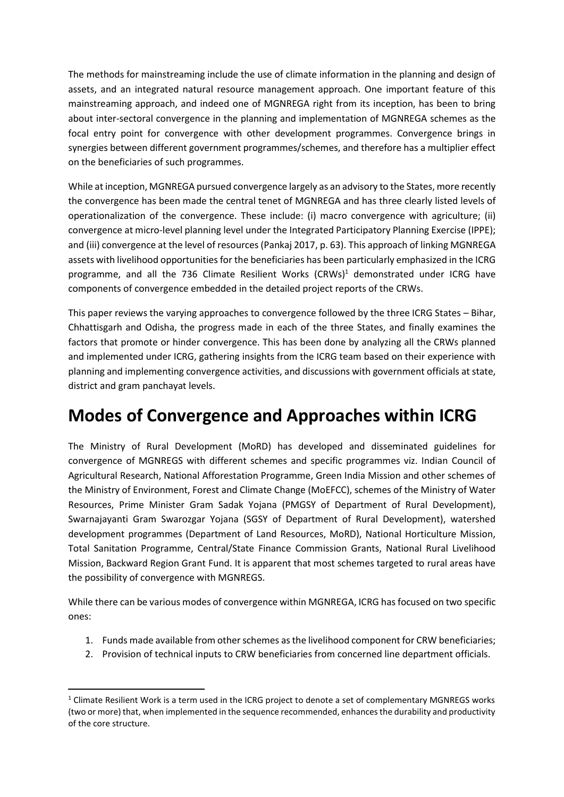The methods for mainstreaming include the use of climate information in the planning and design of assets, and an integrated natural resource management approach. One important feature of this mainstreaming approach, and indeed one of MGNREGA right from its inception, has been to bring about inter-sectoral convergence in the planning and implementation of MGNREGA schemes as the focal entry point for convergence with other development programmes. Convergence brings in synergies between different government programmes/schemes, and therefore has a multiplier effect on the beneficiaries of such programmes.

While at inception, MGNREGA pursued convergence largely as an advisory to the States, more recently the convergence has been made the central tenet of MGNREGA and has three clearly listed levels of operationalization of the convergence. These include: (i) macro convergence with agriculture; (ii) convergence at micro-level planning level under the Integrated Participatory Planning Exercise (IPPE); and (iii) convergence at the level of resources (Pankaj 2017, p. 63). This approach of linking MGNREGA assets with livelihood opportunities for the beneficiaries has been particularly emphasized in the ICRG programme, and all the 736 Climate Resilient Works  $(CRWs)^1$  demonstrated under ICRG have components of convergence embedded in the detailed project reports of the CRWs.

This paper reviews the varying approaches to convergence followed by the three ICRG States – Bihar, Chhattisgarh and Odisha, the progress made in each of the three States, and finally examines the factors that promote or hinder convergence. This has been done by analyzing all the CRWs planned and implemented under ICRG, gathering insights from the ICRG team based on their experience with planning and implementing convergence activities, and discussions with government officials at state, district and gram panchayat levels.

### **Modes of Convergence and Approaches within ICRG**

The Ministry of Rural Development (MoRD) has developed and disseminated guidelines for convergence of MGNREGS with different schemes and specific programmes viz. Indian Council of Agricultural Research, National Afforestation Programme, Green India Mission and other schemes of the Ministry of Environment, Forest and Climate Change (MoEFCC), schemes of the Ministry of Water Resources, Prime Minister Gram Sadak Yojana (PMGSY of Department of Rural Development), Swarnajayanti Gram Swarozgar Yojana (SGSY of Department of Rural Development), watershed development programmes (Department of Land Resources, MoRD), National Horticulture Mission, Total Sanitation Programme, Central/State Finance Commission Grants, National Rural Livelihood Mission, Backward Region Grant Fund. It is apparent that most schemes targeted to rural areas have the possibility of convergence with MGNREGS.

While there can be various modes of convergence within MGNREGA, ICRG has focused on two specific ones:

- 1. Funds made available from other schemes as the livelihood component for CRW beneficiaries;
- 2. Provision of technical inputs to CRW beneficiaries from concerned line department officials.

 $1$  Climate Resilient Work is a term used in the ICRG project to denote a set of complementary MGNREGS works (two or more) that, when implemented in the sequence recommended, enhances the durability and productivity of the core structure.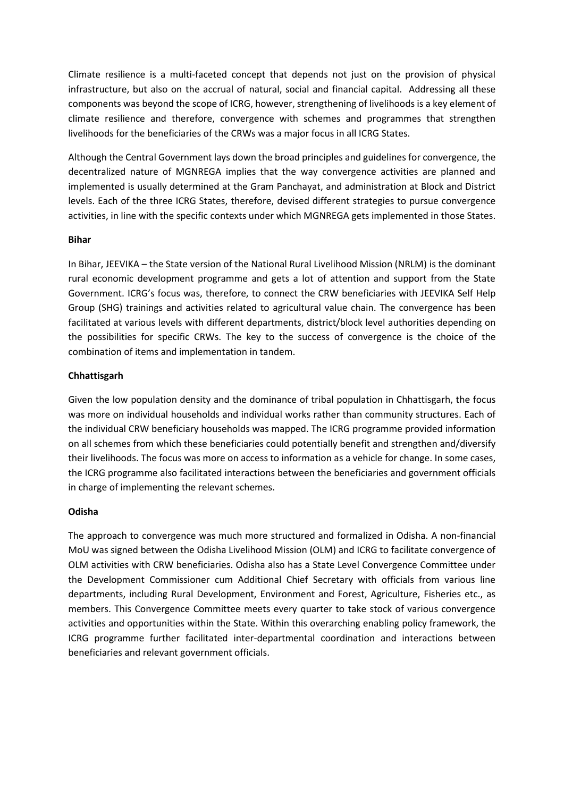Climate resilience is a multi-faceted concept that depends not just on the provision of physical infrastructure, but also on the accrual of natural, social and financial capital. Addressing all these components was beyond the scope of ICRG, however, strengthening of livelihoods is a key element of climate resilience and therefore, convergence with schemes and programmes that strengthen livelihoods for the beneficiaries of the CRWs was a major focus in all ICRG States.

Although the Central Government lays down the broad principles and guidelines for convergence, the decentralized nature of MGNREGA implies that the way convergence activities are planned and implemented is usually determined at the Gram Panchayat, and administration at Block and District levels. Each of the three ICRG States, therefore, devised different strategies to pursue convergence activities, in line with the specific contexts under which MGNREGA gets implemented in those States.

#### **Bihar**

In Bihar, JEEVIKA – the State version of the National Rural Livelihood Mission (NRLM) is the dominant rural economic development programme and gets a lot of attention and support from the State Government. ICRG's focus was, therefore, to connect the CRW beneficiaries with JEEVIKA Self Help Group (SHG) trainings and activities related to agricultural value chain. The convergence has been facilitated at various levels with different departments, district/block level authorities depending on the possibilities for specific CRWs. The key to the success of convergence is the choice of the combination of items and implementation in tandem.

#### **Chhattisgarh**

Given the low population density and the dominance of tribal population in Chhattisgarh, the focus was more on individual households and individual works rather than community structures. Each of the individual CRW beneficiary households was mapped. The ICRG programme provided information on all schemes from which these beneficiaries could potentially benefit and strengthen and/diversify their livelihoods. The focus was more on access to information as a vehicle for change. In some cases, the ICRG programme also facilitated interactions between the beneficiaries and government officials in charge of implementing the relevant schemes.

#### **Odisha**

The approach to convergence was much more structured and formalized in Odisha. A non-financial MoU was signed between the Odisha Livelihood Mission (OLM) and ICRG to facilitate convergence of OLM activities with CRW beneficiaries. Odisha also has a State Level Convergence Committee under the Development Commissioner cum Additional Chief Secretary with officials from various line departments, including Rural Development, Environment and Forest, Agriculture, Fisheries etc., as members. This Convergence Committee meets every quarter to take stock of various convergence activities and opportunities within the State. Within this overarching enabling policy framework, the ICRG programme further facilitated inter-departmental coordination and interactions between beneficiaries and relevant government officials.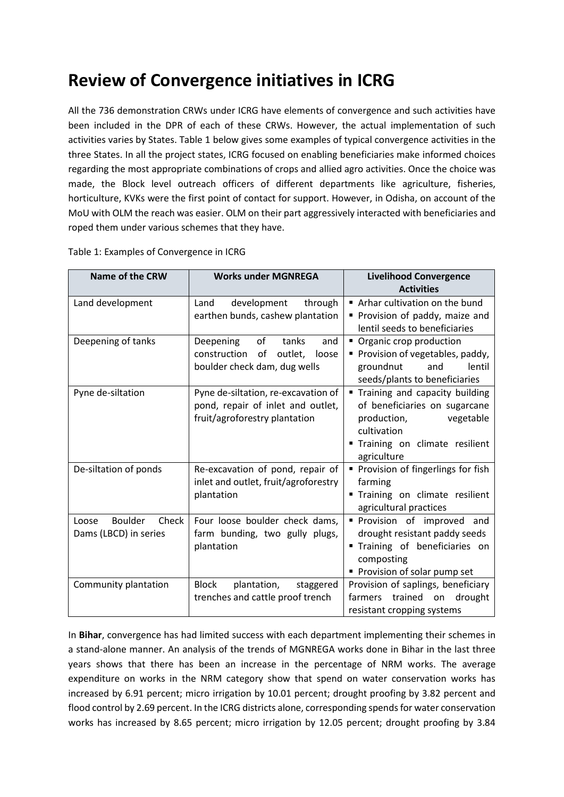# **Review of Convergence initiatives in ICRG**

All the 736 demonstration CRWs under ICRG have elements of convergence and such activities have been included in the DPR of each of these CRWs. However, the actual implementation of such activities varies by States. Table 1 below gives some examples of typical convergence activities in the three States. In all the project states, ICRG focused on enabling beneficiaries make informed choices regarding the most appropriate combinations of crops and allied agro activities. Once the choice was made, the Block level outreach officers of different departments like agriculture, fisheries, horticulture, KVKs were the first point of contact for support. However, in Odisha, on account of the MoU with OLM the reach was easier. OLM on their part aggressively interacted with beneficiaries and roped them under various schemes that they have.

| <b>Name of the CRW</b>                             | <b>Works under MGNREGA</b>                                                                                | <b>Livelihood Convergence</b><br><b>Activities</b>                                                                                                           |  |
|----------------------------------------------------|-----------------------------------------------------------------------------------------------------------|--------------------------------------------------------------------------------------------------------------------------------------------------------------|--|
| Land development                                   | Land<br>development<br>through<br>earthen bunds, cashew plantation                                        | Arhar cultivation on the bund<br>Provision of paddy, maize and<br>lentil seeds to beneficiaries                                                              |  |
| Deepening of tanks                                 | Deepening<br>of<br>tanks<br>and<br>construction<br>outlet,<br>of<br>loose<br>boulder check dam, dug wells | • Organic crop production<br>Provision of vegetables, paddy,<br>lentil<br>groundnut<br>and<br>seeds/plants to beneficiaries                                  |  |
| Pyne de-siltation                                  | Pyne de-siltation, re-excavation of<br>pond, repair of inlet and outlet,<br>fruit/agroforestry plantation | " Training and capacity building<br>of beneficiaries on sugarcane<br>vegetable<br>production,<br>cultivation<br>Training on climate resilient<br>agriculture |  |
| De-siltation of ponds                              | Re-excavation of pond, repair of<br>inlet and outlet, fruit/agroforestry<br>plantation                    | • Provision of fingerlings for fish<br>farming<br>" Training on climate resilient<br>agricultural practices                                                  |  |
| Boulder<br>Check<br>Loose<br>Dams (LBCD) in series | Four loose boulder check dams,<br>farm bunding, two gully plugs,<br>plantation                            | Provision of improved and<br>drought resistant paddy seeds<br>" Training of beneficiaries on<br>composting<br>Provision of solar pump set                    |  |
| Community plantation                               | <b>Block</b><br>plantation,<br>staggered<br>trenches and cattle proof trench                              | Provision of saplings, beneficiary<br>trained on<br>drought<br>farmers<br>resistant cropping systems                                                         |  |

Table 1: Examples of Convergence in ICRG

In **Bihar**, convergence has had limited success with each department implementing their schemes in a stand-alone manner. An analysis of the trends of MGNREGA works done in Bihar in the last three years shows that there has been an increase in the percentage of NRM works. The average expenditure on works in the NRM category show that spend on water conservation works has increased by 6.91 percent; micro irrigation by 10.01 percent; drought proofing by 3.82 percent and flood control by 2.69 percent. In the ICRG districts alone, corresponding spends for water conservation works has increased by 8.65 percent; micro irrigation by 12.05 percent; drought proofing by 3.84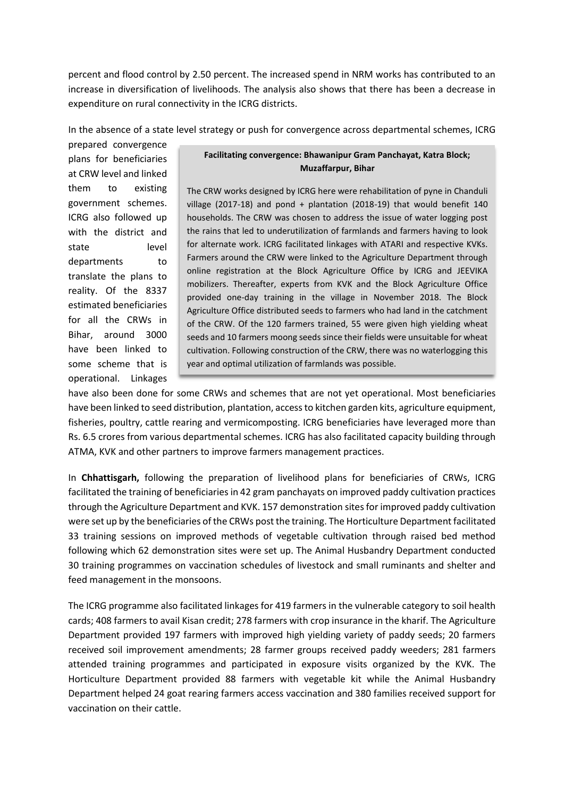percent and flood control by 2.50 percent. The increased spend in NRM works has contributed to an increase in diversification of livelihoods. The analysis also shows that there has been a decrease in expenditure on rural connectivity in the ICRG districts.

In the absence of a state level strategy or push for convergence across departmental schemes, ICRG

prepared convergence plans for beneficiaries at CRW level and linked them to existing government schemes. ICRG also followed up with the district and state level departments to translate the plans to reality. Of the 8337 estimated beneficiaries for all the CRWs in Bihar, around 3000 have been linked to some scheme that is operational. Linkages

#### **Facilitating convergence: Bhawanipur Gram Panchayat, Katra Block; Muzaffarpur, Bihar**

The CRW works designed by ICRG here were rehabilitation of pyne in Chanduli village (2017-18) and pond + plantation (2018-19) that would benefit 140 households. The CRW was chosen to address the issue of water logging post the rains that led to underutilization of farmlands and farmers having to look for alternate work. ICRG facilitated linkages with ATARI and respective KVKs. Farmers around the CRW were linked to the Agriculture Department through online registration at the Block Agriculture Office by ICRG and JEEVIKA mobilizers. Thereafter, experts from KVK and the Block Agriculture Office provided one-day training in the village in November 2018. The Block Agriculture Office distributed seeds to farmers who had land in the catchment of the CRW. Of the 120 farmers trained, 55 were given high yielding wheat seeds and 10 farmers moong seeds since their fields were unsuitable for wheat cultivation. Following construction of the CRW, there was no waterlogging this year and optimal utilization of farmlands was possible.

have also been done for some CRWs and schemes that are not yet operational. Most beneficiaries have been linked to seed distribution, plantation, access to kitchen garden kits, agriculture equipment, fisheries, poultry, cattle rearing and vermicomposting. ICRG beneficiaries have leveraged more than Rs. 6.5 crores from various departmental schemes. ICRG has also facilitated capacity building through ATMA, KVK and other partners to improve farmers management practices.

In **Chhattisgarh,** following the preparation of livelihood plans for beneficiaries of CRWs, ICRG facilitated the training of beneficiaries in 42 gram panchayats on improved paddy cultivation practices through the Agriculture Department and KVK. 157 demonstration sites for improved paddy cultivation were set up by the beneficiaries of the CRWs post the training. The Horticulture Department facilitated 33 training sessions on improved methods of vegetable cultivation through raised bed method following which 62 demonstration sites were set up. The Animal Husbandry Department conducted 30 training programmes on vaccination schedules of livestock and small ruminants and shelter and feed management in the monsoons.

The ICRG programme also facilitated linkages for 419 farmers in the vulnerable category to soil health cards; 408 farmers to avail Kisan credit; 278 farmers with crop insurance in the kharif. The Agriculture Department provided 197 farmers with improved high yielding variety of paddy seeds; 20 farmers received soil improvement amendments; 28 farmer groups received paddy weeders; 281 farmers attended training programmes and participated in exposure visits organized by the KVK. The Horticulture Department provided 88 farmers with vegetable kit while the Animal Husbandry Department helped 24 goat rearing farmers access vaccination and 380 families received support for vaccination on their cattle.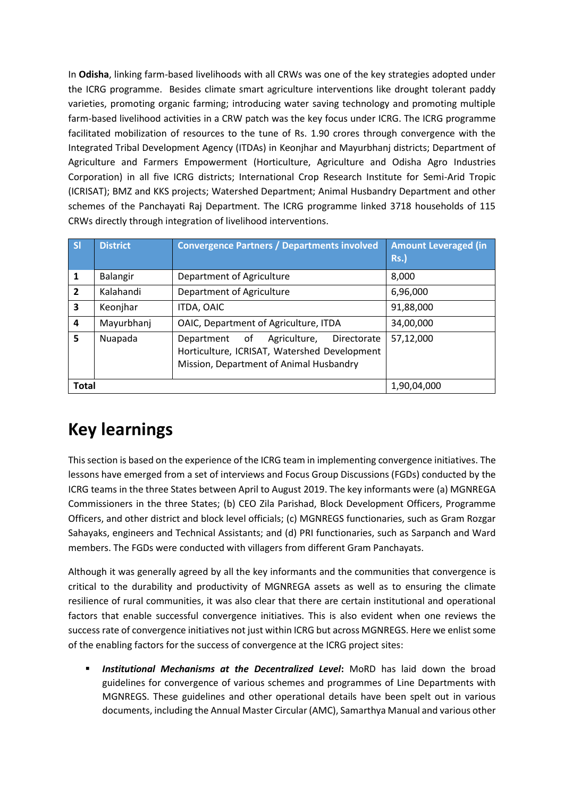In **Odisha**, linking farm-based livelihoods with all CRWs was one of the key strategies adopted under the ICRG programme. Besides climate smart agriculture interventions like drought tolerant paddy varieties, promoting organic farming; introducing water saving technology and promoting multiple farm-based livelihood activities in a CRW patch was the key focus under ICRG. The ICRG programme facilitated mobilization of resources to the tune of Rs. 1.90 crores through convergence with the Integrated Tribal Development Agency (ITDAs) in Keonjhar and Mayurbhanj districts; Department of Agriculture and Farmers Empowerment (Horticulture, Agriculture and Odisha Agro Industries Corporation) in all five ICRG districts; International Crop Research Institute for Semi-Arid Tropic (ICRISAT); BMZ and KKS projects; Watershed Department; Animal Husbandry Department and other schemes of the Panchayati Raj Department. The ICRG programme linked 3718 households of 115 CRWs directly through integration of livelihood interventions.

| <b>SI</b>      | <b>District</b> | <b>Convergence Partners / Departments involved</b>                                                                                         | <b>Amount Leveraged (in</b><br><b>Rs.)</b> |
|----------------|-----------------|--------------------------------------------------------------------------------------------------------------------------------------------|--------------------------------------------|
| 1              | Balangir        | Department of Agriculture                                                                                                                  | 8,000                                      |
| $\overline{2}$ | Kalahandi       | Department of Agriculture                                                                                                                  | 6,96,000                                   |
| 3              | Keonjhar        | ITDA, OAIC                                                                                                                                 | 91,88,000                                  |
| 4              | Mayurbhanj      | OAIC, Department of Agriculture, ITDA                                                                                                      | 34,00,000                                  |
| 5              | Nuapada         | of<br>Agriculture,<br>Directorate<br>Department<br>Horticulture, ICRISAT, Watershed Development<br>Mission, Department of Animal Husbandry | 57,12,000                                  |
| <b>Total</b>   |                 |                                                                                                                                            | 1,90,04,000                                |

# **Key learnings**

This section is based on the experience of the ICRG team in implementing convergence initiatives. The lessons have emerged from a set of interviews and Focus Group Discussions (FGDs) conducted by the ICRG teams in the three States between April to August 2019. The key informants were (a) MGNREGA Commissioners in the three States; (b) CEO Zila Parishad, Block Development Officers, Programme Officers, and other district and block level officials; (c) MGNREGS functionaries, such as Gram Rozgar Sahayaks, engineers and Technical Assistants; and (d) PRI functionaries, such as Sarpanch and Ward members. The FGDs were conducted with villagers from different Gram Panchayats.

Although it was generally agreed by all the key informants and the communities that convergence is critical to the durability and productivity of MGNREGA assets as well as to ensuring the climate resilience of rural communities, it was also clear that there are certain institutional and operational factors that enable successful convergence initiatives. This is also evident when one reviews the success rate of convergence initiatives not just within ICRG but across MGNREGS. Here we enlist some of the enabling factors for the success of convergence at the ICRG project sites:

**Institutional Mechanisms at the Decentralized Level:** MoRD has laid down the broad guidelines for convergence of various schemes and programmes of Line Departments with MGNREGS. These guidelines and other operational details have been spelt out in various documents, including the Annual Master Circular (AMC), Samarthya Manual and various other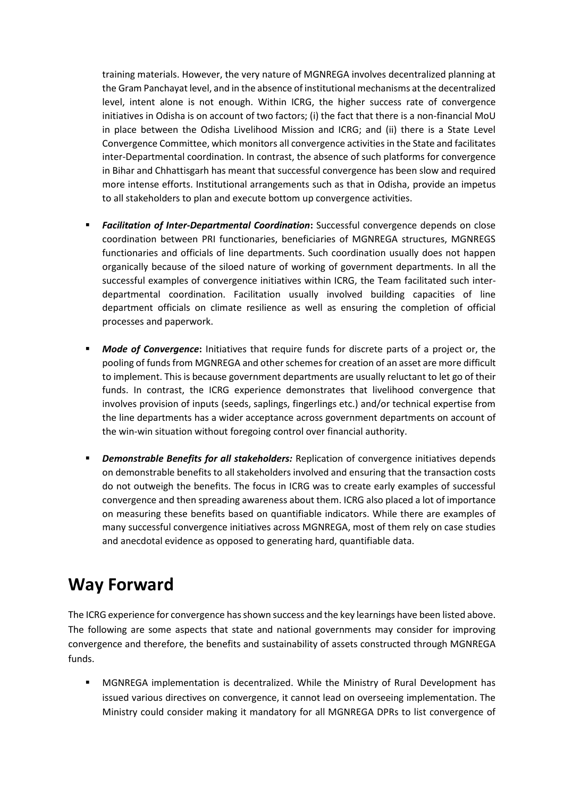training materials. However, the very nature of MGNREGA involves decentralized planning at the Gram Panchayat level, and in the absence of institutional mechanisms at the decentralized level, intent alone is not enough. Within ICRG, the higher success rate of convergence initiatives in Odisha is on account of two factors; (i) the fact that there is a non-financial MoU in place between the Odisha Livelihood Mission and ICRG; and (ii) there is a State Level Convergence Committee, which monitors all convergence activities in the State and facilitates inter-Departmental coordination. In contrast, the absence of such platforms for convergence in Bihar and Chhattisgarh has meant that successful convergence has been slow and required more intense efforts. Institutional arrangements such as that in Odisha, provide an impetus to all stakeholders to plan and execute bottom up convergence activities.

- **Example 2 Facilitation of Inter-Departmental Coordination:** Successful convergence depends on close coordination between PRI functionaries, beneficiaries of MGNREGA structures, MGNREGS functionaries and officials of line departments. Such coordination usually does not happen organically because of the siloed nature of working of government departments. In all the successful examples of convergence initiatives within ICRG, the Team facilitated such interdepartmental coordination. Facilitation usually involved building capacities of line department officials on climate resilience as well as ensuring the completion of official processes and paperwork.
- **■** *Mode of Convergence*: Initiatives that require funds for discrete parts of a project or, the pooling of funds from MGNREGA and other schemes for creation of an asset are more difficult to implement. This is because government departments are usually reluctant to let go of their funds. In contrast, the ICRG experience demonstrates that livelihood convergence that involves provision of inputs (seeds, saplings, fingerlings etc.) and/or technical expertise from the line departments has a wider acceptance across government departments on account of the win-win situation without foregoing control over financial authority.
- **EXEDED FIGHTS IN** *Demonstrable Benefits for all stakeholders:* **Replication of convergence initiatives depends** on demonstrable benefits to all stakeholders involved and ensuring that the transaction costs do not outweigh the benefits. The focus in ICRG was to create early examples of successful convergence and then spreading awareness about them. ICRG also placed a lot of importance on measuring these benefits based on quantifiable indicators. While there are examples of many successful convergence initiatives across MGNREGA, most of them rely on case studies and anecdotal evidence as opposed to generating hard, quantifiable data.

## **Way Forward**

The ICRG experience for convergence has shown success and the key learnings have been listed above. The following are some aspects that state and national governments may consider for improving convergence and therefore, the benefits and sustainability of assets constructed through MGNREGA funds.

MGNREGA implementation is decentralized. While the Ministry of Rural Development has issued various directives on convergence, it cannot lead on overseeing implementation. The Ministry could consider making it mandatory for all MGNREGA DPRs to list convergence of